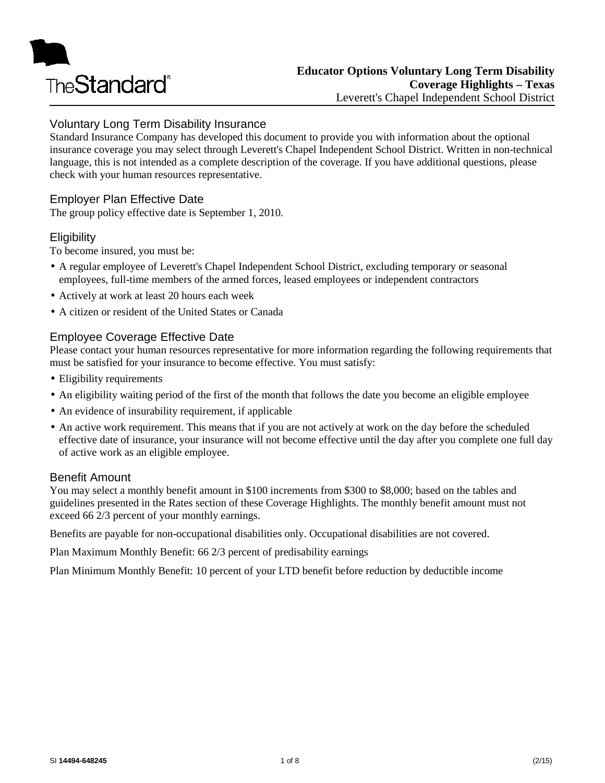

## Voluntary Long Term Disability Insurance

Standard Insurance Company has developed this document to provide you with information about the optional insurance coverage you may select through Leverett's Chapel Independent School District. Written in non-technical language, this is not intended as a complete description of the coverage. If you have additional questions, please check with your human resources representative.

### Employer Plan Effective Date

The group policy effective date is September 1, 2010.

#### **Eligibility**

To become insured, you must be:

- A regular employee of Leverett's Chapel Independent School District, excluding temporary or seasonal employees, full-time members of the armed forces, leased employees or independent contractors
- Actively at work at least 20 hours each week
- A citizen or resident of the United States or Canada

### Employee Coverage Effective Date

Please contact your human resources representative for more information regarding the following requirements that must be satisfied for your insurance to become effective. You must satisfy:

- Eligibility requirements
- An eligibility waiting period of the first of the month that follows the date you become an eligible employee
- An evidence of insurability requirement, if applicable
- An active work requirement. This means that if you are not actively at work on the day before the scheduled effective date of insurance, your insurance will not become effective until the day after you complete one full day of active work as an eligible employee.

#### Benefit Amount

You may select a monthly benefit amount in \$100 increments from \$300 to \$8,000; based on the tables and guidelines presented in the Rates section of these Coverage Highlights. The monthly benefit amount must not exceed 66 2/3 percent of your monthly earnings.

Benefits are payable for non-occupational disabilities only. Occupational disabilities are not covered.

Plan Maximum Monthly Benefit: 66 2/3 percent of predisability earnings

Plan Minimum Monthly Benefit: 10 percent of your LTD benefit before reduction by deductible income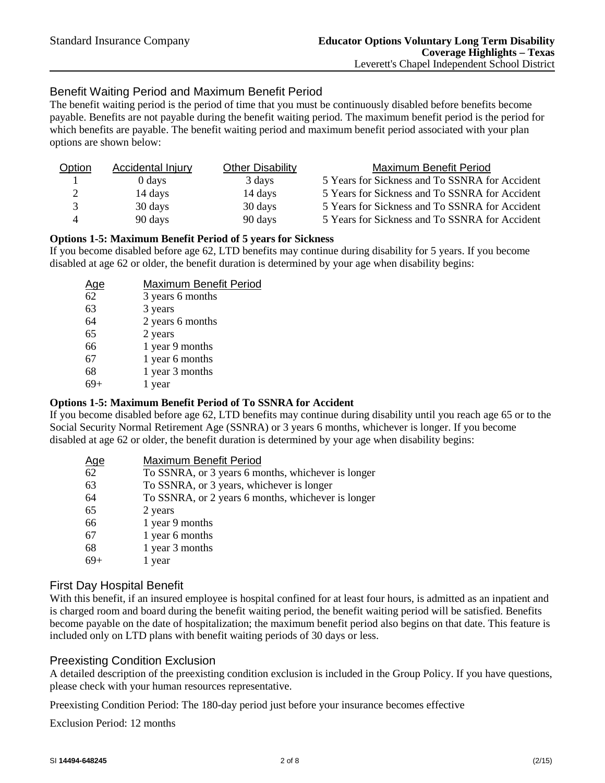## Benefit Waiting Period and Maximum Benefit Period

The benefit waiting period is the period of time that you must be continuously disabled before benefits become payable. Benefits are not payable during the benefit waiting period. The maximum benefit period is the period for which benefits are payable. The benefit waiting period and maximum benefit period associated with your plan options are shown below:

| Option | Accidental Injury | <b>Other Disability</b> | Maximum Benefit Period                         |
|--------|-------------------|-------------------------|------------------------------------------------|
|        | 0 days            | 3 days                  | 5 Years for Sickness and To SSNRA for Accident |
| 2      | 14 days           | 14 days                 | 5 Years for Sickness and To SSNRA for Accident |
| 3      | 30 days           | 30 days                 | 5 Years for Sickness and To SSNRA for Accident |
| 4      | 90 days           | 90 days                 | 5 Years for Sickness and To SSNRA for Accident |

#### **Options 1-5: Maximum Benefit Period of 5 years for Sickness**

If you become disabled before age 62, LTD benefits may continue during disability for 5 years. If you become disabled at age 62 or older, the benefit duration is determined by your age when disability begins:

| <u>Age</u> | Maximum Benefit Period |
|------------|------------------------|
| 62         | 3 years 6 months       |
| 63         | 3 years                |
| 64         | 2 years 6 months       |
| 65         | 2 years                |
| 66         | 1 year 9 months        |
| 67         | 1 year 6 months        |
| 68         | 1 year 3 months        |
|            | year                   |

#### **Options 1-5: Maximum Benefit Period of To SSNRA for Accident**

If you become disabled before age 62, LTD benefits may continue during disability until you reach age 65 or to the Social Security Normal Retirement Age (SSNRA) or 3 years 6 months, whichever is longer. If you become disabled at age 62 or older, the benefit duration is determined by your age when disability begins:

| <u>Age</u> | Maximum Benefit Period                             |
|------------|----------------------------------------------------|
| 62         | To SSNRA, or 3 years 6 months, whichever is longer |
| 63         | To SSNRA, or 3 years, whichever is longer          |
| 64         | To SSNRA, or 2 years 6 months, whichever is longer |
| 65         | 2 years                                            |
| 66         | 1 year 9 months                                    |
| 67         | 1 year 6 months                                    |
| 68         | 1 year 3 months                                    |
| $69+$      | l year                                             |
|            |                                                    |

#### First Day Hospital Benefit

With this benefit, if an insured employee is hospital confined for at least four hours, is admitted as an inpatient and is charged room and board during the benefit waiting period, the benefit waiting period will be satisfied. Benefits become payable on the date of hospitalization; the maximum benefit period also begins on that date. This feature is included only on LTD plans with benefit waiting periods of 30 days or less.

#### Preexisting Condition Exclusion

A detailed description of the preexisting condition exclusion is included in the Group Policy. If you have questions, please check with your human resources representative.

Preexisting Condition Period: The 180-day period just before your insurance becomes effective

Exclusion Period: 12 months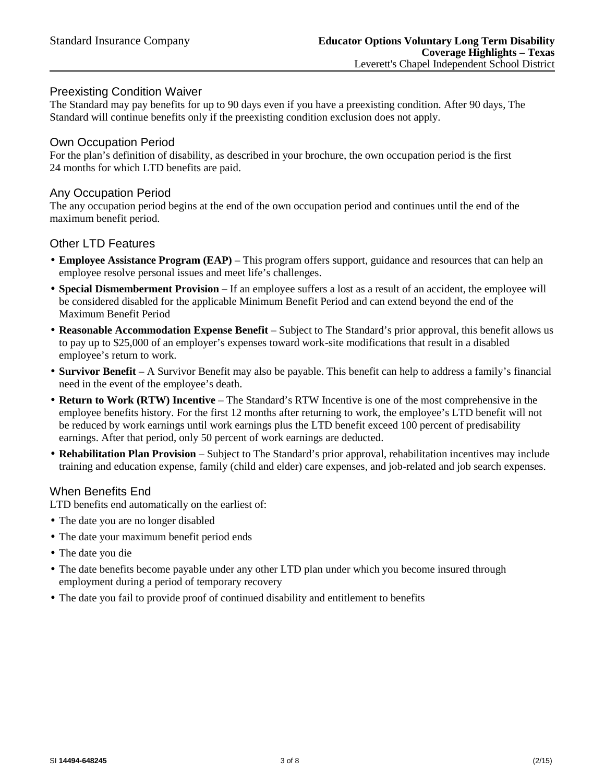### Preexisting Condition Waiver

The Standard may pay benefits for up to 90 days even if you have a preexisting condition. After 90 days, The Standard will continue benefits only if the preexisting condition exclusion does not apply.

#### Own Occupation Period

For the plan's definition of disability, as described in your brochure, the own occupation period is the first 24 months for which LTD benefits are paid.

#### Any Occupation Period

The any occupation period begins at the end of the own occupation period and continues until the end of the maximum benefit period.

#### Other LTD Features

- **Employee Assistance Program (EAP)** This program offers support, guidance and resources that can help an employee resolve personal issues and meet life's challenges.
- **Special Dismemberment Provision –** If an employee suffers a lost as a result of an accident, the employee will be considered disabled for the applicable Minimum Benefit Period and can extend beyond the end of the Maximum Benefit Period
- **Reasonable Accommodation Expense Benefit** Subject to The Standard's prior approval, this benefit allows us to pay up to \$25,000 of an employer's expenses toward work-site modifications that result in a disabled employee's return to work.
- **Survivor Benefit** A Survivor Benefit may also be payable. This benefit can help to address a family's financial need in the event of the employee's death.
- **Return to Work (RTW) Incentive** The Standard's RTW Incentive is one of the most comprehensive in the employee benefits history. For the first 12 months after returning to work, the employee's LTD benefit will not be reduced by work earnings until work earnings plus the LTD benefit exceed 100 percent of predisability earnings. After that period, only 50 percent of work earnings are deducted.
- **Rehabilitation Plan Provision** Subject to The Standard's prior approval, rehabilitation incentives may include training and education expense, family (child and elder) care expenses, and job-related and job search expenses.

#### When Benefits End

LTD benefits end automatically on the earliest of:

- The date you are no longer disabled
- The date your maximum benefit period ends
- The date you die
- The date benefits become payable under any other LTD plan under which you become insured through employment during a period of temporary recovery
- The date you fail to provide proof of continued disability and entitlement to benefits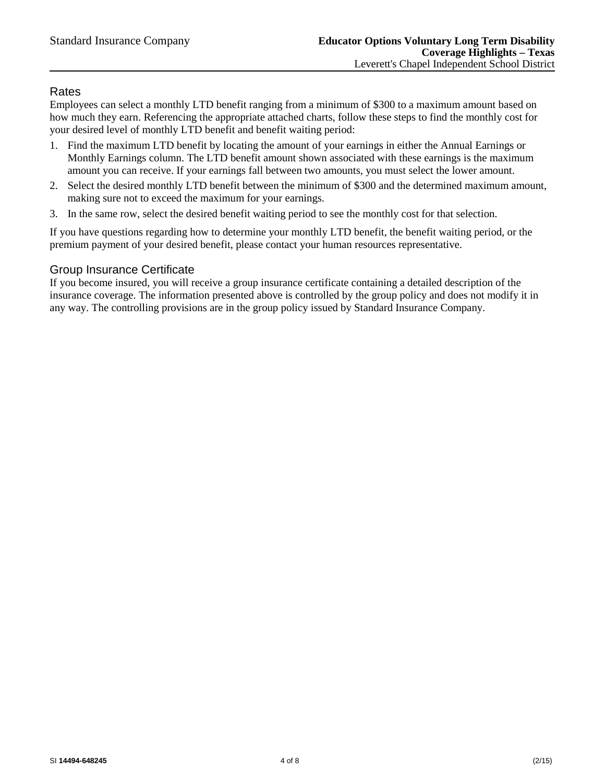### Rates

Employees can select a monthly LTD benefit ranging from a minimum of \$300 to a maximum amount based on how much they earn. Referencing the appropriate attached charts, follow these steps to find the monthly cost for your desired level of monthly LTD benefit and benefit waiting period:

- 1. Find the maximum LTD benefit by locating the amount of your earnings in either the Annual Earnings or Monthly Earnings column. The LTD benefit amount shown associated with these earnings is the maximum amount you can receive. If your earnings fall between two amounts, you must select the lower amount.
- 2. Select the desired monthly LTD benefit between the minimum of \$300 and the determined maximum amount, making sure not to exceed the maximum for your earnings.
- 3. In the same row, select the desired benefit waiting period to see the monthly cost for that selection.

If you have questions regarding how to determine your monthly LTD benefit, the benefit waiting period, or the premium payment of your desired benefit, please contact your human resources representative.

## Group Insurance Certificate

If you become insured, you will receive a group insurance certificate containing a detailed description of the insurance coverage. The information presented above is controlled by the group policy and does not modify it in any way. The controlling provisions are in the group policy issued by Standard Insurance Company.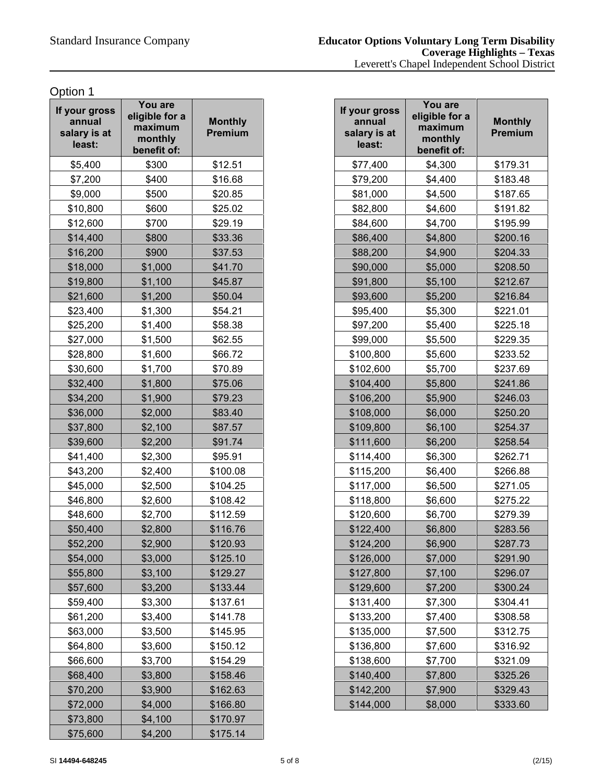| If your gross<br>annual<br>salary is at<br>least: | You are<br>eligible for a<br>maximum<br>monthly<br>benefit of: | <b>Monthly</b><br><b>Premium</b> |
|---------------------------------------------------|----------------------------------------------------------------|----------------------------------|
| \$5,400                                           | \$300                                                          | \$12.51                          |
| \$7,200                                           | \$400                                                          | \$16.68                          |
| \$9,000                                           | \$500                                                          | \$20.85                          |
| \$10,800                                          | \$600                                                          | \$25.02                          |
| \$12,600                                          | \$700                                                          | \$29.19                          |
| \$14,400                                          | \$800                                                          | \$33.36                          |
| \$16,200                                          | \$900                                                          | \$37.53                          |
| \$18,000                                          | \$1,000                                                        | \$41.70                          |
| \$19,800                                          | \$1,100                                                        | \$45.87                          |
| \$21,600                                          | \$1,200                                                        | \$50.04                          |
| \$23,400                                          | \$1,300                                                        | \$54.21                          |
| \$25,200                                          | \$1,400                                                        | \$58.38                          |
| \$27,000                                          | \$1,500                                                        | \$62.55                          |
| \$28,800                                          | \$1,600                                                        | \$66.72                          |
| \$30,600                                          | \$1,700                                                        | \$70.89                          |
| \$32,400                                          | \$1,800                                                        | \$75.06                          |
| \$34,200                                          | \$1,900                                                        | \$79.23                          |
| \$36,000                                          | \$2,000                                                        | \$83.40                          |
| \$37,800                                          | \$2,100                                                        | \$87.57                          |
| \$39,600                                          | \$2,200                                                        | \$91.74                          |
| \$41,400                                          | \$2,300                                                        | \$95.91                          |
| \$43,200                                          | \$2,400                                                        | \$100.08                         |
| \$45,000                                          | \$2,500                                                        | \$104.25                         |
| \$46,800                                          | \$2,600                                                        | \$108.42                         |
| \$48,600                                          | \$2,700                                                        | \$112.59                         |
| \$50,400                                          | \$2,800                                                        | \$116.76                         |
| \$52,200                                          | \$2,900                                                        | \$120.93                         |
| \$54,000                                          | \$3,000                                                        | \$125.10                         |
| \$55,800                                          | \$3,100                                                        | \$129.27                         |
| \$57,600                                          | \$3,200                                                        | \$133.44                         |
| \$59,400                                          | \$3,300                                                        | \$137.61                         |
| \$61,200                                          | \$3,400                                                        | \$141.78                         |
| \$63,000                                          | \$3,500                                                        | \$145.95                         |
| \$64,800                                          | \$3,600                                                        | \$150.12                         |
| \$66,600                                          | \$3,700                                                        | \$154.29                         |
| \$68,400                                          | \$3,800                                                        | \$158.46                         |
| \$70,200                                          | \$3,900                                                        | \$162.63                         |
| \$72,000                                          | \$4,000                                                        | \$166.80                         |
| \$73,800                                          | \$4,100                                                        | \$170.97                         |
| \$75,600                                          | \$4,200                                                        | \$175.14                         |

| our gross<br>annual<br>alary is at<br>least: | You are<br>eligible for a<br>maximum<br>monthly<br>benefit of: | <b>Monthly</b><br><b>Premium</b> | If your gross<br>annual<br>salary is at<br>least: | You are<br>eligible for a<br>maximum<br>monthly<br>benefit of: | <b>Monthly</b><br>Premium |
|----------------------------------------------|----------------------------------------------------------------|----------------------------------|---------------------------------------------------|----------------------------------------------------------------|---------------------------|
| \$5,400                                      | \$300                                                          | \$12.51                          | \$77,400                                          | \$4,300                                                        | \$179.31                  |
| \$7,200                                      | \$400                                                          | \$16.68                          | \$79,200                                          | \$4,400                                                        | \$183.48                  |
| \$9,000                                      | \$500                                                          | \$20.85                          | \$81,000                                          | \$4,500                                                        | \$187.65                  |
| \$10,800                                     | \$600                                                          | \$25.02                          | \$82,800                                          | \$4,600                                                        | \$191.82                  |
| \$12,600                                     | \$700                                                          | \$29.19                          | \$84,600                                          | \$4,700                                                        | \$195.99                  |
| \$14,400                                     | \$800                                                          | \$33.36                          | \$86,400                                          | \$4,800                                                        | \$200.16                  |
| \$16,200                                     | \$900                                                          | \$37.53                          | \$88,200                                          | \$4,900                                                        | \$204.33                  |
| \$18,000                                     | \$1,000                                                        | \$41.70                          | \$90,000                                          | \$5,000                                                        | \$208.50                  |
| \$19,800                                     | \$1,100                                                        | \$45.87                          | \$91,800                                          | \$5,100                                                        | \$212.67                  |
| \$21,600                                     | \$1,200                                                        | \$50.04                          | \$93,600                                          | \$5,200                                                        | \$216.84                  |
| \$23,400                                     | \$1,300                                                        | \$54.21                          | \$95,400                                          | \$5,300                                                        | \$221.01                  |
| \$25,200                                     | \$1,400                                                        | \$58.38                          | \$97,200                                          | \$5,400                                                        | \$225.18                  |
| \$27,000                                     | \$1,500                                                        | \$62.55                          | \$99,000                                          | \$5,500                                                        | \$229.35                  |
| \$28,800                                     | \$1,600                                                        | \$66.72                          | \$100,800                                         | \$5,600                                                        | \$233.52                  |
| \$30,600                                     | \$1,700                                                        | \$70.89                          | \$102,600                                         | \$5,700                                                        | \$237.69                  |
| \$32,400                                     | \$1,800                                                        | \$75.06                          | \$104,400                                         | \$5,800                                                        | \$241.86                  |
| \$34,200                                     | \$1,900                                                        | \$79.23                          | \$106,200                                         | \$5,900                                                        | \$246.03                  |
| \$36,000                                     | \$2,000                                                        | \$83.40                          | \$108,000                                         | \$6,000                                                        | \$250.20                  |
| \$37,800                                     | \$2,100                                                        | \$87.57                          | \$109,800                                         | \$6,100                                                        | \$254.37                  |
| \$39,600                                     | \$2,200                                                        | \$91.74                          | \$111,600                                         | \$6,200                                                        | \$258.54                  |
| \$41,400                                     | \$2,300                                                        | \$95.91                          | \$114,400                                         | \$6,300                                                        | \$262.71                  |
| \$43,200                                     | \$2,400                                                        | \$100.08                         | \$115,200                                         | \$6,400                                                        | \$266.88                  |
| \$45,000                                     | \$2,500                                                        | \$104.25                         | \$117,000                                         | \$6,500                                                        | \$271.05                  |
| \$46,800                                     | \$2,600                                                        | \$108.42                         | \$118,800                                         | \$6,600                                                        | \$275.22                  |
| \$48,600                                     | \$2,700                                                        | \$112.59                         | \$120,600                                         | \$6,700                                                        | \$279.39                  |
| \$50,400                                     | \$2,800                                                        | \$116.76                         | \$122,400                                         | \$6,800                                                        | \$283.56                  |
| \$52,200                                     | \$2,900                                                        | \$120.93                         | \$124,200                                         | \$6,900                                                        | \$287.73                  |
| \$54,000                                     | \$3,000                                                        | \$125.10                         | \$126,000                                         | \$7,000                                                        | \$291.90                  |
| \$55,800                                     | \$3,100                                                        | \$129.27                         | \$127,800                                         | \$7,100                                                        | \$296.07                  |
| \$57,600                                     | \$3,200                                                        | \$133.44                         | \$129,600                                         | \$7,200                                                        | \$300.24                  |
| \$59,400                                     | \$3,300                                                        | \$137.61                         | \$131,400                                         | \$7,300                                                        | \$304.41                  |
| \$61,200                                     | \$3,400                                                        | \$141.78                         | \$133,200                                         | \$7,400                                                        | \$308.58                  |
| \$63,000                                     | \$3,500                                                        | \$145.95                         | \$135,000                                         | \$7,500                                                        | \$312.75                  |
| \$64,800                                     | \$3,600                                                        | \$150.12                         | \$136,800                                         | \$7,600                                                        | \$316.92                  |
| \$66,600                                     | \$3,700                                                        | \$154.29                         | \$138,600                                         | \$7,700                                                        | \$321.09                  |
| \$68,400                                     | \$3,800                                                        | \$158.46                         | \$140,400                                         | \$7,800                                                        | \$325.26                  |
| \$70,200                                     | \$3,900                                                        | \$162.63                         | \$142,200                                         | \$7,900                                                        | \$329.43                  |
| \$72,000                                     | \$4,000                                                        | \$166.80                         | \$144,000                                         | \$8,000                                                        | \$333.60                  |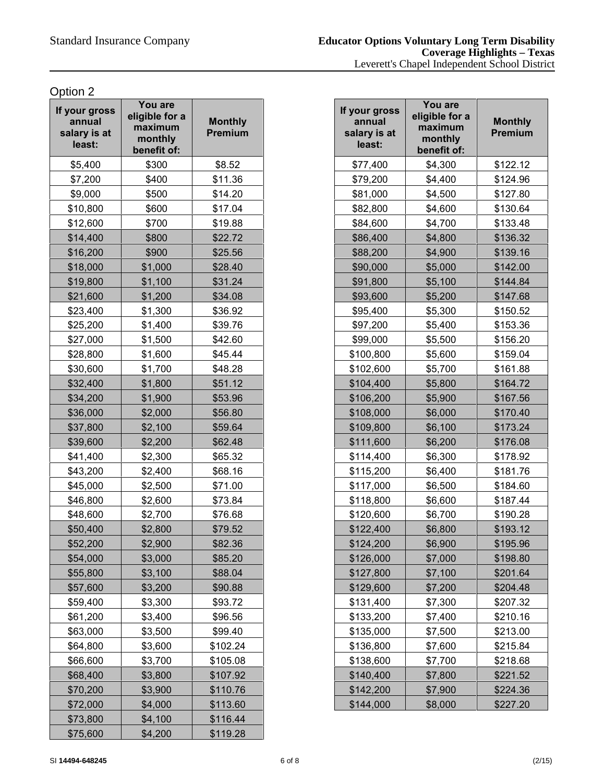| If your gross<br>annual<br>salary is at<br>least: | You are<br>eligible for a<br>maximum<br>monthly<br>benefit of: | <b>Monthly</b><br><b>Premium</b> |
|---------------------------------------------------|----------------------------------------------------------------|----------------------------------|
| \$5,400                                           | \$300                                                          | \$8.52                           |
| \$7,200                                           | \$400                                                          | \$11.36                          |
| \$9,000                                           | \$500                                                          | \$14.20                          |
| \$10,800                                          | \$600                                                          | \$17.04                          |
| \$12,600                                          | \$700                                                          | \$19.88                          |
| \$14,400                                          | \$800                                                          | \$22.72                          |
| \$16,200                                          | \$900                                                          | \$25.56                          |
| \$18,000                                          | \$1,000                                                        | \$28.40                          |
| \$19,800                                          | \$1,100                                                        | \$31.24                          |
| \$21,600                                          | \$1,200                                                        | \$34.08                          |
| \$23,400                                          | \$1,300                                                        | \$36.92                          |
| \$25,200                                          | \$1,400                                                        | \$39.76                          |
| \$27,000                                          | \$1,500                                                        | \$42.60                          |
| \$28,800                                          | \$1,600                                                        | \$45.44                          |
| \$30,600                                          | \$1,700                                                        | \$48.28                          |
| \$32,400                                          | \$1,800                                                        | \$51.12                          |
| \$34,200                                          | \$1,900                                                        | \$53.96                          |
| \$36,000                                          | \$2,000                                                        | \$56.80                          |
| \$37,800                                          | \$2,100                                                        | \$59.64                          |
| \$39,600                                          | \$2,200                                                        | \$62.48                          |
| \$41,400                                          | \$2,300                                                        | \$65.32                          |
| \$43,200                                          | \$2,400                                                        | \$68.16                          |
| \$45,000                                          | \$2,500                                                        | \$71.00                          |
| \$46,800                                          | \$2,600                                                        | \$73.84                          |
| \$48,600                                          | \$2,700                                                        | \$76.68                          |
| \$50,400                                          | \$2,800                                                        | \$79.52                          |
| \$52,200                                          | \$2,900                                                        | \$82.36                          |
| \$54,000                                          | \$3,000                                                        | \$85.20                          |
| \$55,800                                          | \$3,100                                                        | \$88.04                          |
| \$57,600                                          | \$3,200                                                        | \$90.88                          |
| \$59,400                                          | \$3,300                                                        | \$93.72                          |
| \$61,200                                          | \$3,400                                                        | \$96.56                          |
| \$63,000                                          | \$3,500                                                        | \$99.40                          |
| \$64,800                                          | \$3,600                                                        | \$102.24                         |
| \$66,600                                          | \$3,700                                                        | \$105.08                         |
| \$68,400                                          | \$3,800                                                        | \$107.92                         |
| \$70,200                                          | \$3,900                                                        | \$110.76                         |
| \$72,000                                          | \$4,000                                                        | \$113.60                         |
| \$73,800                                          | \$4,100                                                        | \$116.44                         |
| \$75,600                                          | \$4,200                                                        | \$119.28                         |

| our gross<br>annual<br>alary is at<br>least: | You are<br>eligible for a<br>maximum<br>monthly<br>benefit of: | <b>Monthly</b><br><b>Premium</b> | If your gross<br>annual<br>salary is at<br>least: | You are<br>eligible for a<br>maximum<br>monthly<br>benefit of: | <b>Monthly</b><br>Premium |
|----------------------------------------------|----------------------------------------------------------------|----------------------------------|---------------------------------------------------|----------------------------------------------------------------|---------------------------|
|                                              | \$300                                                          | \$8.52                           | \$77,400                                          | \$4,300                                                        | \$122.12                  |
| \$5,400<br>\$7,200                           | \$400                                                          | \$11.36                          | \$79,200                                          | \$4,400                                                        | \$124.96                  |
| \$9,000                                      | \$500                                                          | \$14.20                          | \$81,000                                          | \$4,500                                                        | \$127.80                  |
| \$10,800                                     | \$600                                                          | \$17.04                          | \$82,800                                          | \$4,600                                                        | \$130.64                  |
| \$12,600                                     | \$700                                                          | \$19.88                          | \$84,600                                          | \$4,700                                                        | \$133.48                  |
| \$14,400                                     | \$800                                                          | \$22.72                          | \$86,400                                          | \$4,800                                                        | \$136.32                  |
| \$16,200                                     | \$900                                                          | \$25.56                          | \$88,200                                          | \$4,900                                                        | \$139.16                  |
| \$18,000                                     | \$1,000                                                        | \$28.40                          | \$90,000                                          | \$5,000                                                        | \$142.00                  |
| \$19,800                                     | \$1,100                                                        | \$31.24                          | \$91,800                                          | \$5,100                                                        | \$144.84                  |
| \$21,600                                     | \$1,200                                                        | \$34.08                          | \$93,600                                          | \$5,200                                                        | \$147.68                  |
| \$23,400                                     | \$1,300                                                        | \$36.92                          | \$95,400                                          | \$5,300                                                        | \$150.52                  |
| \$25,200                                     | \$1,400                                                        | \$39.76                          | \$97,200                                          | \$5,400                                                        | \$153.36                  |
| \$27,000                                     | \$1,500                                                        | \$42.60                          | \$99,000                                          | \$5,500                                                        | \$156.20                  |
| \$28,800                                     | \$1,600                                                        | \$45.44                          | \$100,800                                         | \$5,600                                                        | \$159.04                  |
| \$30,600                                     | \$1,700                                                        | \$48.28                          | \$102,600                                         | \$5,700                                                        | \$161.88                  |
| \$32,400                                     | \$1,800                                                        | \$51.12                          | \$104,400                                         | \$5,800                                                        | \$164.72                  |
| \$34,200                                     | \$1,900                                                        | \$53.96                          | \$106,200                                         | \$5,900                                                        | \$167.56                  |
| \$36,000                                     | \$2,000                                                        | \$56.80                          | \$108,000                                         | \$6,000                                                        | \$170.40                  |
| \$37,800                                     | \$2,100                                                        | \$59.64                          | \$109,800                                         | \$6,100                                                        | \$173.24                  |
| \$39,600                                     | \$2,200                                                        | \$62.48                          | \$111,600                                         | \$6,200                                                        | \$176.08                  |
| \$41,400                                     | \$2,300                                                        | \$65.32                          | \$114,400                                         | \$6,300                                                        | \$178.92                  |
| \$43,200                                     | \$2,400                                                        | \$68.16                          | \$115,200                                         | \$6,400                                                        | \$181.76                  |
| \$45,000                                     | \$2,500                                                        | \$71.00                          | \$117,000                                         | \$6,500                                                        | \$184.60                  |
| \$46,800                                     | \$2,600                                                        | \$73.84                          | \$118,800                                         | \$6,600                                                        | \$187.44                  |
| \$48,600                                     | \$2,700                                                        | \$76.68                          | \$120,600                                         | \$6,700                                                        | \$190.28                  |
| \$50,400                                     | \$2,800                                                        | \$79.52                          | \$122,400                                         | \$6,800                                                        | \$193.12                  |
| \$52,200                                     | \$2,900                                                        | \$82.36                          | \$124,200                                         | \$6,900                                                        | \$195.96                  |
| \$54,000                                     | \$3,000                                                        | \$85.20                          | \$126,000                                         | \$7,000                                                        | \$198.80                  |
| \$55,800                                     | \$3,100                                                        | \$88.04                          | \$127,800                                         | \$7,100                                                        | \$201.64                  |
| \$57,600                                     | \$3,200                                                        | \$90.88                          | \$129,600                                         | \$7,200                                                        | \$204.48                  |
| \$59,400                                     | \$3,300                                                        | \$93.72                          | \$131,400                                         | \$7,300                                                        | \$207.32                  |
| \$61,200                                     | \$3,400                                                        | \$96.56                          | \$133,200                                         | \$7,400                                                        | \$210.16                  |
| \$63,000                                     | \$3,500                                                        | \$99.40                          | \$135,000                                         | \$7,500                                                        | \$213.00                  |
| \$64,800                                     | \$3,600                                                        | \$102.24                         | \$136,800                                         | \$7,600                                                        | \$215.84                  |
| \$66,600                                     | \$3,700                                                        | \$105.08                         | \$138,600                                         | \$7,700                                                        | \$218.68                  |
| \$68,400                                     | \$3,800                                                        | \$107.92                         | \$140,400                                         | \$7,800                                                        | \$221.52                  |
| \$70,200                                     | \$3,900                                                        | \$110.76                         | \$142,200                                         | \$7,900                                                        | \$224.36                  |
| \$72,000                                     | \$4,000                                                        | \$113.60                         | \$144,000                                         | \$8,000                                                        | \$227.20                  |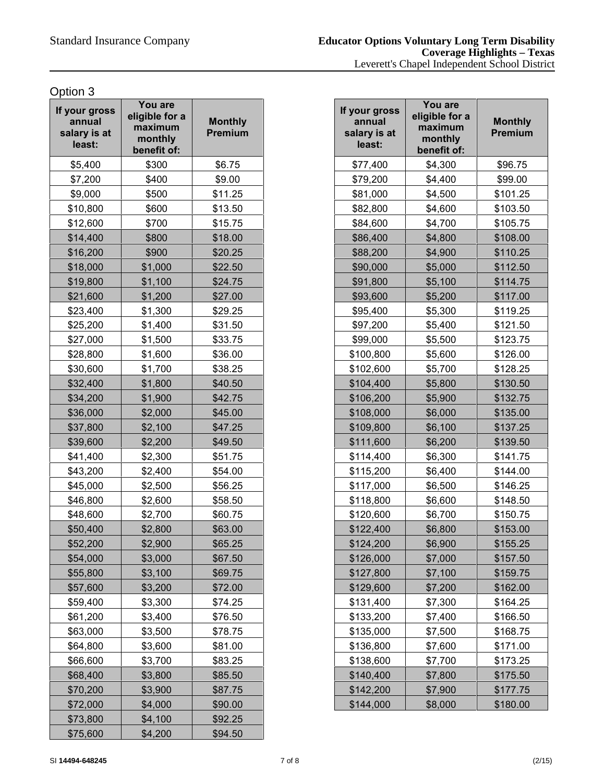| If your gross<br>annual<br>salary is at<br>least: | You are<br>eligible for a<br>maximum<br>monthly<br>benefit of: | <b>Monthly</b><br><b>Premium</b> |
|---------------------------------------------------|----------------------------------------------------------------|----------------------------------|
| \$5,400                                           | \$300                                                          | \$6.75                           |
| \$7,200                                           | \$400                                                          | \$9.00                           |
| \$9,000                                           | \$500                                                          | \$11.25                          |
| \$10,800                                          | \$600                                                          | \$13.50                          |
| \$12,600                                          | \$700                                                          | \$15.75                          |
| \$14,400                                          | \$800                                                          | \$18.00                          |
| \$16,200                                          | \$900                                                          | \$20.25                          |
| \$18,000                                          | \$1,000                                                        | \$22.50                          |
| \$19,800                                          | \$1,100                                                        | \$24.75                          |
| \$21,600                                          | \$1,200                                                        | \$27.00                          |
| \$23,400                                          | \$1,300                                                        | \$29.25                          |
| \$25,200                                          | \$1,400                                                        | \$31.50                          |
| \$27,000                                          | \$1,500                                                        | \$33.75                          |
| \$28,800                                          | \$1,600                                                        | \$36.00                          |
| \$30,600                                          | \$1,700                                                        | \$38.25                          |
| \$32,400                                          | \$1,800                                                        | \$40.50                          |
| \$34,200                                          | \$1,900                                                        | \$42.75                          |
| \$36,000                                          | \$2,000                                                        | \$45.00                          |
| \$37,800                                          | \$2,100                                                        | \$47.25                          |
| \$39,600                                          | \$2,200                                                        | \$49.50                          |
| \$41,400                                          | \$2,300                                                        | \$51.75                          |
| \$43,200                                          | \$2,400                                                        | \$54.00                          |
| \$45,000                                          | \$2,500                                                        | \$56.25                          |
| \$46,800                                          | \$2,600                                                        | \$58.50                          |
| \$48,600                                          | \$2,700                                                        | \$60.75                          |
| \$50,400                                          | \$2,800                                                        | \$63.00                          |
| \$52,200                                          | \$2,900                                                        | \$65.25                          |
| \$54,000                                          | \$3,000                                                        | \$67.50                          |
| \$55,800                                          | \$3,100                                                        | \$69.75                          |
| \$57,600                                          | \$3,200                                                        | \$72.00                          |
| \$59,400                                          | \$3,300                                                        | \$74.25                          |
| \$61,200                                          | \$3,400                                                        | \$76.50                          |
| \$63,000                                          | \$3,500                                                        | \$78.75                          |
| \$64,800                                          | \$3,600                                                        | \$81.00                          |
| \$66,600                                          | \$3,700                                                        | \$83.25                          |
| \$68,400                                          | \$3,800                                                        | \$85.50                          |
| \$70,200                                          | \$3,900                                                        | \$87.75                          |
| \$72,000                                          | \$4,000                                                        | \$90.00                          |
| \$73,800                                          | \$4,100                                                        | \$92.25                          |
| \$75,600                                          | \$4,200                                                        | \$94.50                          |

| our gross<br>annual<br>alary is at<br>least: | You are<br>eligible for a<br>maximum<br>monthly<br>benefit of: | <b>Monthly</b><br><b>Premium</b> | If your gross<br>annual<br>salary is at<br>least: | You are<br>eligible for a<br>maximum<br>monthly<br>benefit of: | <b>Monthly</b><br>Premium |
|----------------------------------------------|----------------------------------------------------------------|----------------------------------|---------------------------------------------------|----------------------------------------------------------------|---------------------------|
| \$5,400                                      | \$300                                                          | \$6.75                           | \$77,400                                          | \$4,300                                                        | \$96.75                   |
| \$7,200                                      | \$400                                                          | \$9.00                           | \$79,200                                          | \$4,400                                                        | \$99.00                   |
| \$9,000                                      | \$500                                                          | \$11.25                          | \$81,000                                          | \$4,500                                                        | \$101.25                  |
| \$10,800                                     | \$600                                                          | \$13.50                          | \$82,800                                          | \$4,600                                                        | \$103.50                  |
| \$12,600                                     | \$700                                                          | \$15.75                          | \$84,600                                          | \$4,700                                                        | \$105.75                  |
| \$14,400                                     | \$800                                                          | \$18.00                          | \$86,400                                          | \$4,800                                                        | \$108.00                  |
| \$16,200                                     | \$900                                                          | \$20.25                          | \$88,200                                          | \$4,900                                                        | \$110.25                  |
| \$18,000                                     | \$1,000                                                        | \$22.50                          | \$90,000                                          | \$5,000                                                        | \$112.50                  |
| \$19,800                                     | \$1,100                                                        | \$24.75                          | \$91,800                                          | \$5,100                                                        | \$114.75                  |
| \$21,600                                     | \$1,200                                                        | \$27.00                          | \$93,600                                          | \$5,200                                                        | \$117.00                  |
| \$23,400                                     | \$1,300                                                        | \$29.25                          | \$95,400                                          | \$5,300                                                        | \$119.25                  |
| \$25,200                                     | \$1,400                                                        | \$31.50                          | \$97,200                                          | \$5,400                                                        | \$121.50                  |
| \$27,000                                     | \$1,500                                                        | \$33.75                          | \$99,000                                          | \$5,500                                                        | \$123.75                  |
| \$28,800                                     | \$1,600                                                        | \$36.00                          | \$100,800                                         | \$5,600                                                        | \$126.00                  |
| \$30,600                                     | \$1,700                                                        | \$38.25                          | \$102,600                                         | \$5,700                                                        | \$128.25                  |
| \$32,400                                     | \$1,800                                                        | \$40.50                          | \$104,400                                         | \$5,800                                                        | \$130.50                  |
| \$34,200                                     | \$1,900                                                        | \$42.75                          | \$106,200                                         | \$5,900                                                        | \$132.75                  |
| \$36,000                                     | \$2,000                                                        | \$45.00                          | \$108,000                                         | \$6,000                                                        | \$135.00                  |
| \$37,800                                     | \$2,100                                                        | \$47.25                          | \$109,800                                         | \$6,100                                                        | \$137.25                  |
| \$39,600                                     | \$2,200                                                        | \$49.50                          | \$111,600                                         | \$6,200                                                        | \$139.50                  |
| \$41,400                                     | \$2,300                                                        | \$51.75                          | \$114,400                                         | \$6,300                                                        | \$141.75                  |
| \$43,200                                     | \$2,400                                                        | \$54.00                          | \$115,200                                         | \$6,400                                                        | \$144.00                  |
| \$45,000                                     | \$2,500                                                        | \$56.25                          | \$117,000                                         | \$6,500                                                        | \$146.25                  |
| \$46,800                                     | \$2,600                                                        | \$58.50                          | \$118,800                                         | \$6,600                                                        | \$148.50                  |
| \$48,600                                     | \$2,700                                                        | \$60.75                          | \$120,600                                         | \$6,700                                                        | \$150.75                  |
| \$50,400                                     | \$2,800                                                        | \$63.00                          | \$122,400                                         | \$6,800                                                        | \$153.00                  |
| \$52,200                                     | \$2,900                                                        | \$65.25                          | \$124,200                                         | \$6,900                                                        | \$155.25                  |
| \$54,000                                     | \$3,000                                                        | \$67.50                          | \$126,000                                         | \$7,000                                                        | \$157.50                  |
| \$55,800                                     | \$3,100                                                        | \$69.75                          | \$127,800                                         | \$7,100                                                        | \$159.75                  |
| \$57,600                                     | \$3,200                                                        | \$72.00                          | \$129,600                                         | \$7,200                                                        | \$162.00                  |
| \$59,400                                     | \$3,300                                                        | \$74.25                          | \$131,400                                         | \$7,300                                                        | \$164.25                  |
| \$61,200                                     | \$3,400                                                        | \$76.50                          | \$133,200                                         | \$7,400                                                        | \$166.50                  |
| \$63,000                                     | \$3,500                                                        | \$78.75                          | \$135,000                                         | \$7,500                                                        | \$168.75                  |
| \$64,800                                     | \$3,600                                                        | \$81.00                          | \$136,800                                         | \$7,600                                                        | \$171.00                  |
| \$66,600                                     | \$3,700                                                        | \$83.25                          | \$138,600                                         | \$7,700                                                        | \$173.25                  |
| \$68,400                                     | \$3,800                                                        | \$85.50                          | \$140,400                                         | \$7,800                                                        | \$175.50                  |
| \$70,200                                     | \$3,900                                                        | \$87.75                          | \$142,200                                         | \$7,900                                                        | \$177.75                  |
| \$72,000                                     | \$4,000                                                        | \$90.00                          | \$144,000                                         | \$8,000                                                        | \$180.00                  |